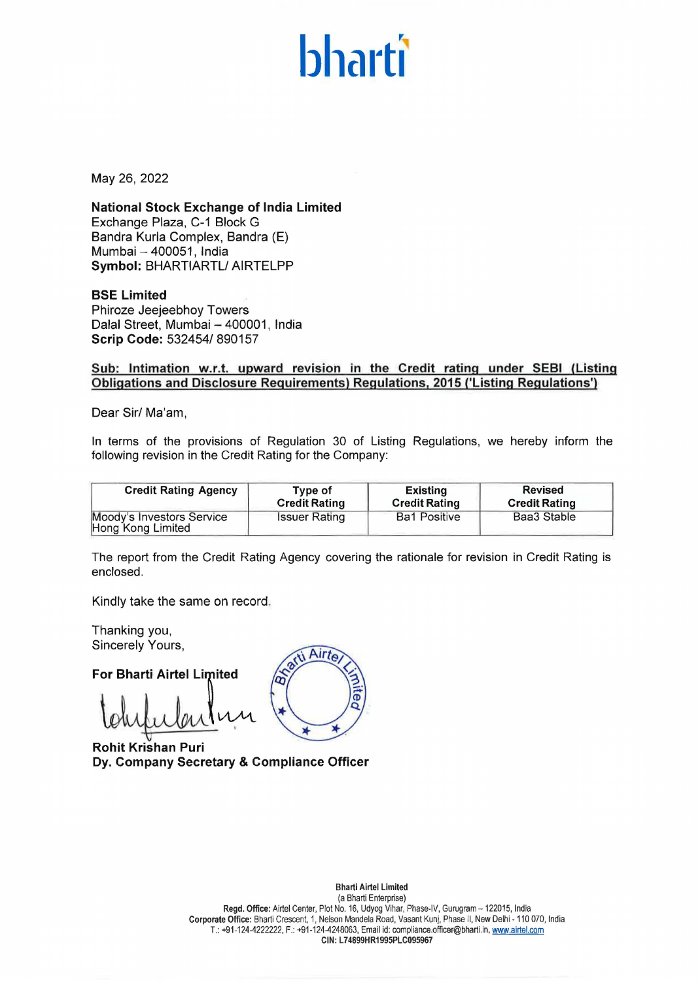# **bharti**

May 26, 2022

**National Stock Exchange of India Limited**  Exchange Plaza, C-1 Block G Sandra Kurla Complex, Sandra (E) Mumbai - 400051, India **Symbol:** SHARTIARTL/ AIRTELPP

**BSE Limited**  Phiroze Jeejeebhoy Towers Dalal Street, Mumbai - 400001, India **Scrip Code:** 532454/ 890157

#### Sub: Intimation w.r.t. upward revision in the Credit rating under SEBI (Listing **Obligations and Disclosure Requirements) Regulations, 2015 ('Listing Regulations')**

Dear Sir/ Ma'am,

In terms of the provisions of Regulation 30 of Listing Regulations, we hereby inform the following revision in the Credit Rating for the Company:

| <b>Credit Rating Agency</b>                    | Tvpe of              | <b>Existing</b>      | <b>Revised</b>       |
|------------------------------------------------|----------------------|----------------------|----------------------|
|                                                | <b>Credit Rating</b> | <b>Credit Rating</b> | <b>Credit Rating</b> |
| Moody's Investors Service<br>Hong Kong Limited | <b>Issuer Rating</b> | <b>Ba1 Positive</b>  | Baa3 Stable          |

The report from the Credit Rating Agency covering the rationale for revision in Credit Rating is enclosed.

**Airte** 

Kindly take the same on record.

Thanking you, Sincerely Yours,

For Bharti Airtel Limited

**Rohit Krishan Puri Dy. Company Secretary** & **Compliance Officer** 

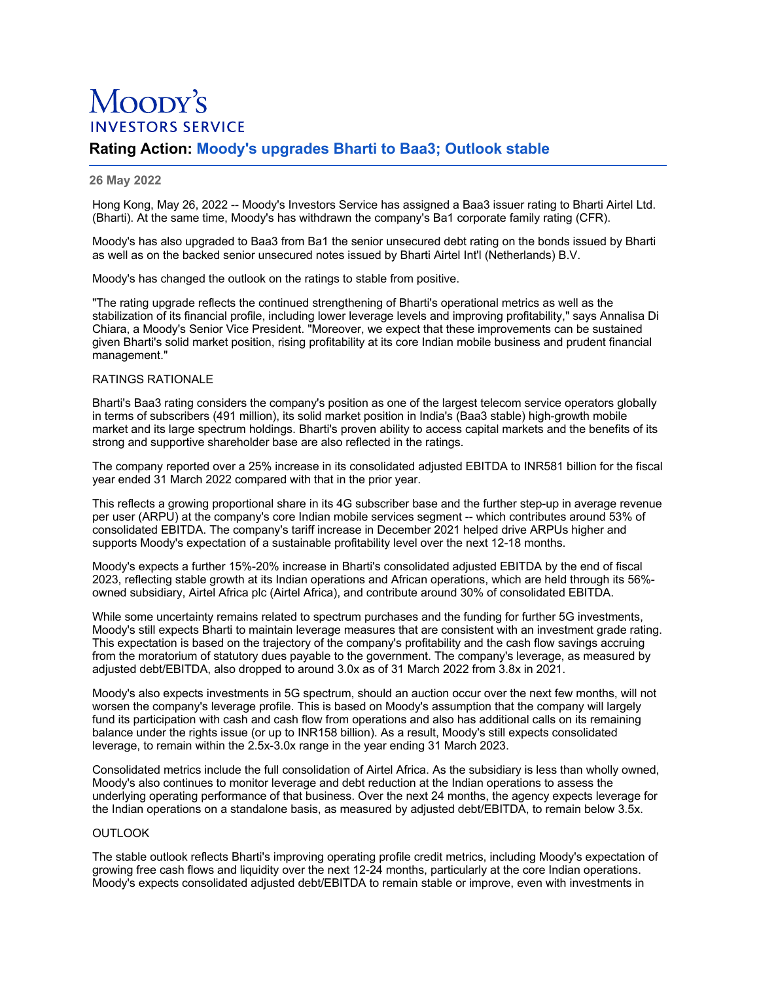## Moopy's **INVESTORS SERVICE**

### **Rating Action: Moody's upgrades Bharti to Baa3; Outlook stable**

#### **26 May 2022**

Hong Kong, May 26, 2022 -- Moody's Investors Service has assigned a Baa3 issuer rating to Bharti Airtel Ltd. (Bharti). At the same time, Moody's has withdrawn the company's Ba1 corporate family rating (CFR).

Moody's has also upgraded to Baa3 from Ba1 the senior unsecured debt rating on the bonds issued by Bharti as well as on the backed senior unsecured notes issued by Bharti Airtel Int'l (Netherlands) B.V.

Moody's has changed the outlook on the ratings to stable from positive.

"The rating upgrade reflects the continued strengthening of Bharti's operational metrics as well as the stabilization of its financial profile, including lower leverage levels and improving profitability," says Annalisa Di Chiara, a Moody's Senior Vice President. "Moreover, we expect that these improvements can be sustained given Bharti's solid market position, rising profitability at its core Indian mobile business and prudent financial management."

#### RATINGS RATIONALE

Bharti's Baa3 rating considers the company's position as one of the largest telecom service operators globally in terms of subscribers (491 million), its solid market position in India's (Baa3 stable) high-growth mobile market and its large spectrum holdings. Bharti's proven ability to access capital markets and the benefits of its strong and supportive shareholder base are also reflected in the ratings.

The company reported over a 25% increase in its consolidated adjusted EBITDA to INR581 billion for the fiscal year ended 31 March 2022 compared with that in the prior year.

This reflects a growing proportional share in its 4G subscriber base and the further step-up in average revenue per user (ARPU) at the company's core Indian mobile services segment -- which contributes around 53% of consolidated EBITDA. The company's tariff increase in December 2021 helped drive ARPUs higher and supports Moody's expectation of a sustainable profitability level over the next 12-18 months.

Moody's expects a further 15%-20% increase in Bharti's consolidated adjusted EBITDA by the end of fiscal 2023, reflecting stable growth at its Indian operations and African operations, which are held through its 56% owned subsidiary, Airtel Africa plc (Airtel Africa), and contribute around 30% of consolidated EBITDA.

While some uncertainty remains related to spectrum purchases and the funding for further 5G investments, Moody's still expects Bharti to maintain leverage measures that are consistent with an investment grade rating. This expectation is based on the trajectory of the company's profitability and the cash flow savings accruing from the moratorium of statutory dues payable to the government. The company's leverage, as measured by adjusted debt/EBITDA, also dropped to around 3.0x as of 31 March 2022 from 3.8x in 2021.

Moody's also expects investments in 5G spectrum, should an auction occur over the next few months, will not worsen the company's leverage profile. This is based on Moody's assumption that the company will largely fund its participation with cash and cash flow from operations and also has additional calls on its remaining balance under the rights issue (or up to INR158 billion). As a result, Moody's still expects consolidated leverage, to remain within the 2.5x-3.0x range in the year ending 31 March 2023.

Consolidated metrics include the full consolidation of Airtel Africa. As the subsidiary is less than wholly owned, Moody's also continues to monitor leverage and debt reduction at the Indian operations to assess the underlying operating performance of that business. Over the next 24 months, the agency expects leverage for the Indian operations on a standalone basis, as measured by adjusted debt/EBITDA, to remain below 3.5x.

#### **OUTLOOK**

The stable outlook reflects Bharti's improving operating profile credit metrics, including Moody's expectation of growing free cash flows and liquidity over the next 12-24 months, particularly at the core Indian operations. Moody's expects consolidated adjusted debt/EBITDA to remain stable or improve, even with investments in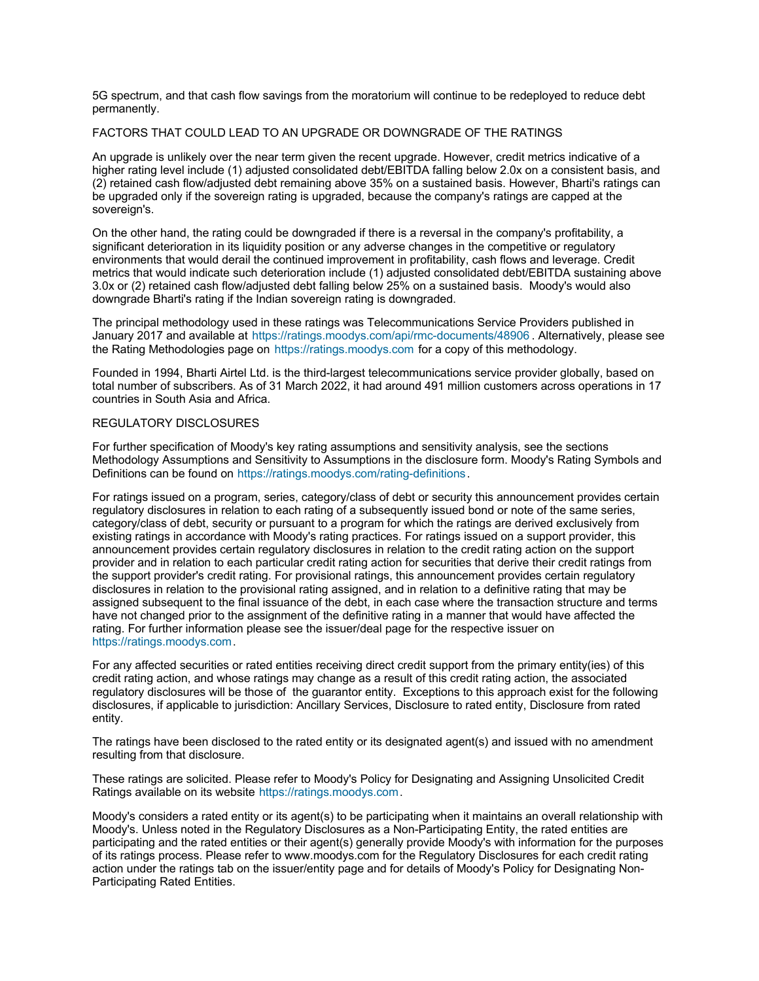5G spectrum, and that cash flow savings from the moratorium will continue to be redeployed to reduce debt permanently.

#### FACTORS THAT COULD LEAD TO AN UPGRADE OR DOWNGRADE OF THE RATINGS

An upgrade is unlikely over the near term given the recent upgrade. However, credit metrics indicative of a higher rating level include (1) adjusted consolidated debt/EBITDA falling below 2.0x on a consistent basis, and (2) retained cash flow/adjusted debt remaining above 35% on a sustained basis. However, Bharti's ratings can be upgraded only if the sovereign rating is upgraded, because the company's ratings are capped at the sovereign's.

On the other hand, the rating could be downgraded if there is a reversal in the company's profitability, a significant deterioration in its liquidity position or any adverse changes in the competitive or regulatory environments that would derail the continued improvement in profitability, cash flows and leverage. Credit metrics that would indicate such deterioration include (1) adjusted consolidated debt/EBITDA sustaining above 3.0x or (2) retained cash flow/adjusted debt falling below 25% on a sustained basis. Moody's would also downgrade Bharti's rating if the Indian sovereign rating is downgraded.

The principal methodology used in these ratings was Telecommunications Service Providers published in January 2017 and available at <https://ratings.moodys.com/api/rmc-documents/48906> . Alternatively, please see the Rating Methodologies page on [https://ratings.moodys.com](https://ratings.moodys.com/) for a copy of this methodology.

Founded in 1994, Bharti Airtel Ltd. is the third-largest telecommunications service provider globally, based on total number of subscribers. As of 31 March 2022, it had around 491 million customers across operations in 17 countries in South Asia and Africa.

#### REGULATORY DISCLOSURES

For further specification of Moody's key rating assumptions and sensitivity analysis, see the sections Methodology Assumptions and Sensitivity to Assumptions in the disclosure form. Moody's Rating Symbols and Definitions can be found on<https://ratings.moodys.com/rating-definitions>.

For ratings issued on a program, series, category/class of debt or security this announcement provides certain regulatory disclosures in relation to each rating of a subsequently issued bond or note of the same series, category/class of debt, security or pursuant to a program for which the ratings are derived exclusively from existing ratings in accordance with Moody's rating practices. For ratings issued on a support provider, this announcement provides certain regulatory disclosures in relation to the credit rating action on the support provider and in relation to each particular credit rating action for securities that derive their credit ratings from the support provider's credit rating. For provisional ratings, this announcement provides certain regulatory disclosures in relation to the provisional rating assigned, and in relation to a definitive rating that may be assigned subsequent to the final issuance of the debt, in each case where the transaction structure and terms have not changed prior to the assignment of the definitive rating in a manner that would have affected the rating. For further information please see the issuer/deal page for the respective issuer on [https://ratings.moodys.com](https://ratings.moodys.com/).

For any affected securities or rated entities receiving direct credit support from the primary entity(ies) of this credit rating action, and whose ratings may change as a result of this credit rating action, the associated regulatory disclosures will be those of the guarantor entity. Exceptions to this approach exist for the following disclosures, if applicable to jurisdiction: Ancillary Services, Disclosure to rated entity, Disclosure from rated entity.

The ratings have been disclosed to the rated entity or its designated agent(s) and issued with no amendment resulting from that disclosure.

These ratings are solicited. Please refer to Moody's Policy for Designating and Assigning Unsolicited Credit Ratings available on its website [https://ratings.moodys.com](https://ratings.moodys.com/).

Moody's considers a rated entity or its agent(s) to be participating when it maintains an overall relationship with Moody's. Unless noted in the Regulatory Disclosures as a Non-Participating Entity, the rated entities are participating and the rated entities or their agent(s) generally provide Moody's with information for the purposes of its ratings process. Please refer to www.moodys.com for the Regulatory Disclosures for each credit rating action under the ratings tab on the issuer/entity page and for details of Moody's Policy for Designating Non-Participating Rated Entities.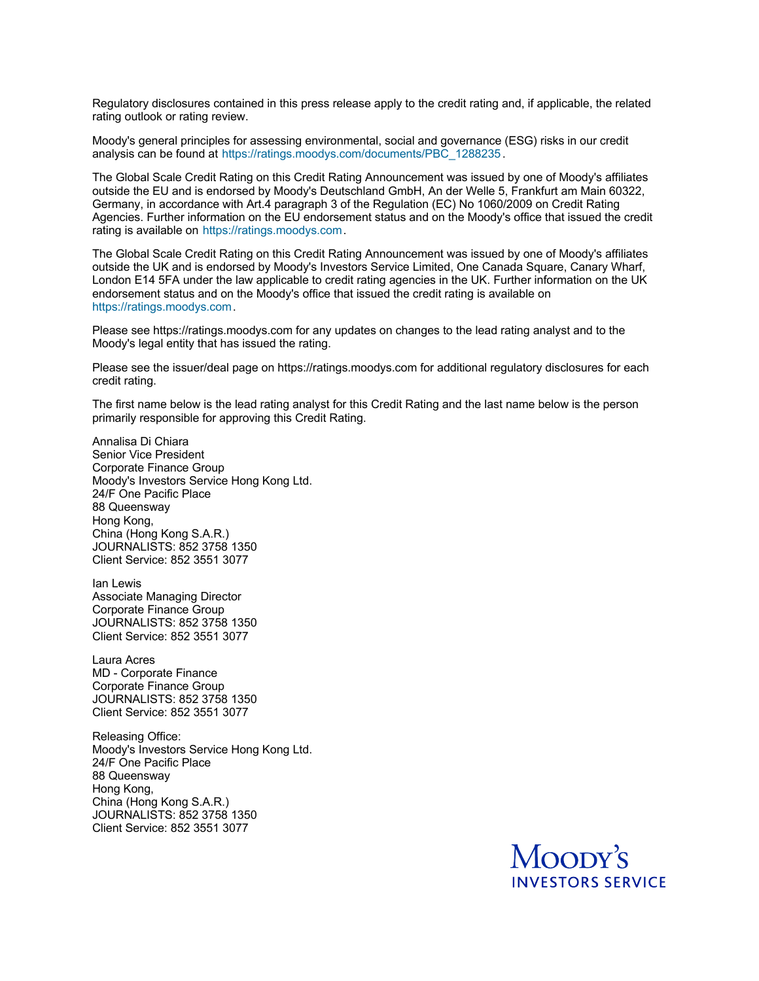Regulatory disclosures contained in this press release apply to the credit rating and, if applicable, the related rating outlook or rating review.

Moody's general principles for assessing environmental, social and governance (ESG) risks in our credit analysis can be found at [https://ratings.moodys.com/documents/PBC\\_1288235](https://ratings.moodys.com/documents/PBC_1288235).

The Global Scale Credit Rating on this Credit Rating Announcement was issued by one of Moody's affiliates outside the EU and is endorsed by Moody's Deutschland GmbH, An der Welle 5, Frankfurt am Main 60322, Germany, in accordance with Art.4 paragraph 3 of the Regulation (EC) No 1060/2009 on Credit Rating Agencies. Further information on the EU endorsement status and on the Moody's office that issued the credit rating is available on [https://ratings.moodys.com](https://ratings.moodys.com/).

The Global Scale Credit Rating on this Credit Rating Announcement was issued by one of Moody's affiliates outside the UK and is endorsed by Moody's Investors Service Limited, One Canada Square, Canary Wharf, London E14 5FA under the law applicable to credit rating agencies in the UK. Further information on the UK endorsement status and on the Moody's office that issued the credit rating is available on [https://ratings.moodys.com](https://ratings.moodys.com/).

Please see https://ratings.moodys.com for any updates on changes to the lead rating analyst and to the Moody's legal entity that has issued the rating.

Please see the issuer/deal page on https://ratings.moodys.com for additional regulatory disclosures for each credit rating.

The first name below is the lead rating analyst for this Credit Rating and the last name below is the person primarily responsible for approving this Credit Rating.

Annalisa Di Chiara Senior Vice President Corporate Finance Group Moody's Investors Service Hong Kong Ltd. 24/F One Pacific Place 88 Queensway Hong Kong, China (Hong Kong S.A.R.) JOURNALISTS: 852 3758 1350 Client Service: 852 3551 3077

Ian Lewis Associate Managing Director Corporate Finance Group JOURNALISTS: 852 3758 1350 Client Service: 852 3551 3077

Laura Acres MD - Corporate Finance Corporate Finance Group JOURNALISTS: 852 3758 1350 Client Service: 852 3551 3077

Releasing Office: Moody's Investors Service Hong Kong Ltd. 24/F One Pacific Place 88 Queensway Hong Kong, China (Hong Kong S.A.R.) JOURNALISTS: 852 3758 1350 Client Service: 852 3551 3077

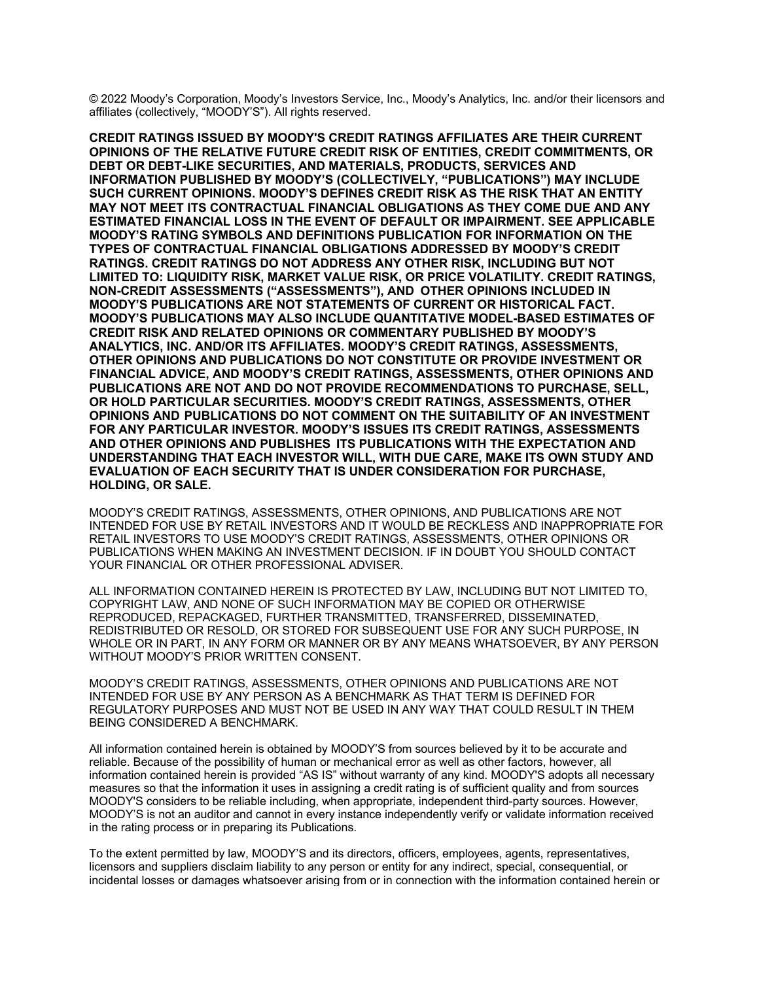© 2022 Moody's Corporation, Moody's Investors Service, Inc., Moody's Analytics, Inc. and/or their licensors and affiliates (collectively, "MOODY'S"). All rights reserved.

**CREDIT RATINGS ISSUED BY MOODY'S CREDIT RATINGS AFFILIATES ARE THEIR CURRENT OPINIONS OF THE RELATIVE FUTURE CREDIT RISK OF ENTITIES, CREDIT COMMITMENTS, OR DEBT OR DEBT-LIKE SECURITIES, AND MATERIALS, PRODUCTS, SERVICES AND INFORMATION PUBLISHED BY MOODY'S (COLLECTIVELY, "PUBLICATIONS") MAY INCLUDE SUCH CURRENT OPINIONS. MOODY'S DEFINES CREDIT RISK AS THE RISK THAT AN ENTITY MAY NOT MEET ITS CONTRACTUAL FINANCIAL OBLIGATIONS AS THEY COME DUE AND ANY ESTIMATED FINANCIAL LOSS IN THE EVENT OF DEFAULT OR IMPAIRMENT. SEE APPLICABLE MOODY'S RATING SYMBOLS AND DEFINITIONS PUBLICATION FOR INFORMATION ON THE TYPES OF CONTRACTUAL FINANCIAL OBLIGATIONS ADDRESSED BY MOODY'S CREDIT RATINGS. CREDIT RATINGS DO NOT ADDRESS ANY OTHER RISK, INCLUDING BUT NOT LIMITED TO: LIQUIDITY RISK, MARKET VALUE RISK, OR PRICE VOLATILITY. CREDIT RATINGS, NON-CREDIT ASSESSMENTS ("ASSESSMENTS"), AND OTHER OPINIONS INCLUDED IN MOODY'S PUBLICATIONS ARE NOT STATEMENTS OF CURRENT OR HISTORICAL FACT. MOODY'S PUBLICATIONS MAY ALSO INCLUDE QUANTITATIVE MODEL-BASED ESTIMATES OF CREDIT RISK AND RELATED OPINIONS OR COMMENTARY PUBLISHED BY MOODY'S ANALYTICS, INC. AND/OR ITS AFFILIATES. MOODY'S CREDIT RATINGS, ASSESSMENTS, OTHER OPINIONS AND PUBLICATIONS DO NOT CONSTITUTE OR PROVIDE INVESTMENT OR FINANCIAL ADVICE, AND MOODY'S CREDIT RATINGS, ASSESSMENTS, OTHER OPINIONS AND PUBLICATIONS ARE NOT AND DO NOT PROVIDE RECOMMENDATIONS TO PURCHASE, SELL, OR HOLD PARTICULAR SECURITIES. MOODY'S CREDIT RATINGS, ASSESSMENTS, OTHER OPINIONS AND PUBLICATIONS DO NOT COMMENT ON THE SUITABILITY OF AN INVESTMENT FOR ANY PARTICULAR INVESTOR. MOODY'S ISSUES ITS CREDIT RATINGS, ASSESSMENTS AND OTHER OPINIONS AND PUBLISHES ITS PUBLICATIONS WITH THE EXPECTATION AND UNDERSTANDING THAT EACH INVESTOR WILL, WITH DUE CARE, MAKE ITS OWN STUDY AND EVALUATION OF EACH SECURITY THAT IS UNDER CONSIDERATION FOR PURCHASE, HOLDING, OR SALE.** 

MOODY'S CREDIT RATINGS, ASSESSMENTS, OTHER OPINIONS, AND PUBLICATIONS ARE NOT INTENDED FOR USE BY RETAIL INVESTORS AND IT WOULD BE RECKLESS AND INAPPROPRIATE FOR RETAIL INVESTORS TO USE MOODY'S CREDIT RATINGS, ASSESSMENTS, OTHER OPINIONS OR PUBLICATIONS WHEN MAKING AN INVESTMENT DECISION. IF IN DOUBT YOU SHOULD CONTACT YOUR FINANCIAL OR OTHER PROFESSIONAL ADVISER.

ALL INFORMATION CONTAINED HEREIN IS PROTECTED BY LAW, INCLUDING BUT NOT LIMITED TO, COPYRIGHT LAW, AND NONE OF SUCH INFORMATION MAY BE COPIED OR OTHERWISE REPRODUCED, REPACKAGED, FURTHER TRANSMITTED, TRANSFERRED, DISSEMINATED, REDISTRIBUTED OR RESOLD, OR STORED FOR SUBSEQUENT USE FOR ANY SUCH PURPOSE, IN WHOLE OR IN PART, IN ANY FORM OR MANNER OR BY ANY MEANS WHATSOEVER, BY ANY PERSON WITHOUT MOODY'S PRIOR WRITTEN CONSENT.

MOODY'S CREDIT RATINGS, ASSESSMENTS, OTHER OPINIONS AND PUBLICATIONS ARE NOT INTENDED FOR USE BY ANY PERSON AS A BENCHMARK AS THAT TERM IS DEFINED FOR REGULATORY PURPOSES AND MUST NOT BE USED IN ANY WAY THAT COULD RESULT IN THEM BEING CONSIDERED A BENCHMARK.

All information contained herein is obtained by MOODY'S from sources believed by it to be accurate and reliable. Because of the possibility of human or mechanical error as well as other factors, however, all information contained herein is provided "AS IS" without warranty of any kind. MOODY'S adopts all necessary measures so that the information it uses in assigning a credit rating is of sufficient quality and from sources MOODY'S considers to be reliable including, when appropriate, independent third-party sources. However, MOODY'S is not an auditor and cannot in every instance independently verify or validate information received in the rating process or in preparing its Publications.

To the extent permitted by law, MOODY'S and its directors, officers, employees, agents, representatives, licensors and suppliers disclaim liability to any person or entity for any indirect, special, consequential, or incidental losses or damages whatsoever arising from or in connection with the information contained herein or